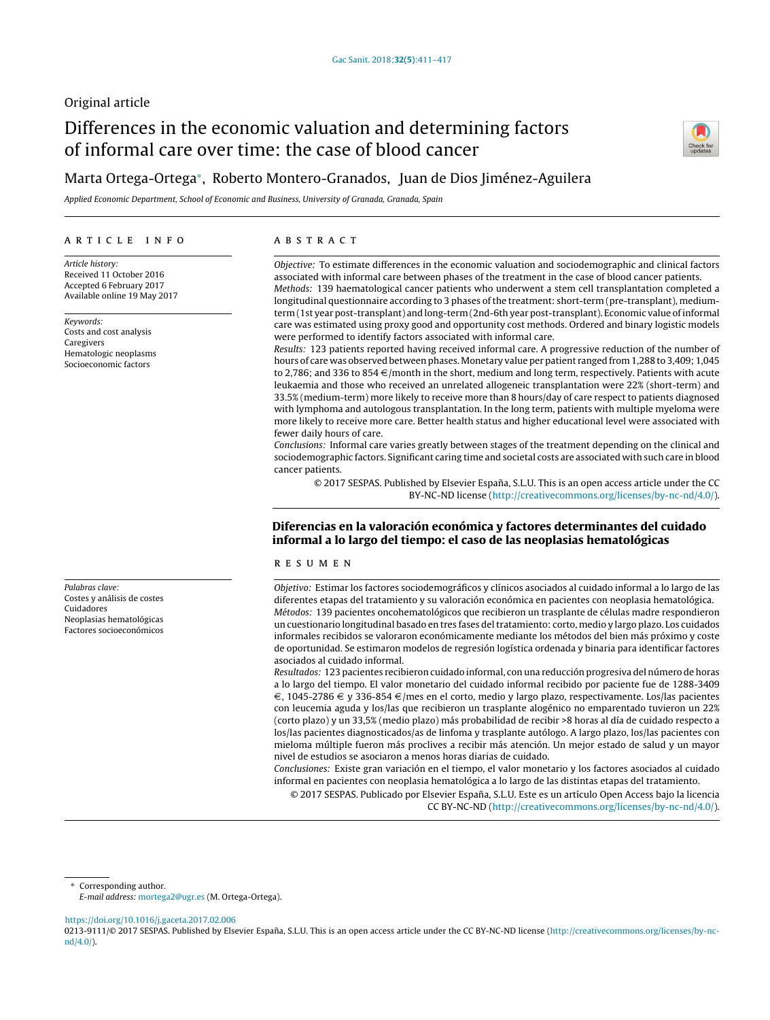## Original article

# Differences in the economic valuation and determining factors of informal care over time: the case of blood cancer



## Marta Ortega-Ortega<sup>∗</sup> , Roberto Montero-Granados, Juan de Dios Jiménez-Aguilera

Applied Economic Department, School of Economic and Business, University of Granada, Granada, Spain

#### a r t i c l e i n f o

Article history: Received 11 October 2016 Accepted 6 February 2017 Available online 19 May 2017

Keywords: Costs and cost analysis Caregivers Hematologic neoplasms Socioeconomic factors

Palabras clave: Costes y análisis de costes Cuidadores Neoplasias hematológicas Factores socioeconómicos

#### a b s t r a c t

Objective: To estimate differences in the economic valuation and sociodemographic and clinical factors associated with informal care between phases of the treatment in the case of blood cancer patients. Methods: 139 haematological cancer patients who underwent a stem cell transplantation completed a longitudinal questionnaire according to 3 phases of the treatment: short-term (pre-transplant), mediumterm (1st year post-transplant) and long-term (2nd-6th year post-transplant). Economic value ofinformal care was estimated using proxy good and opportunity cost methods. Ordered and binary logistic models were performed to identify factors associated with informal care.

Results: 123 patients reported having received informal care. A progressive reduction of the number of hours of care was observed between phases.Monetary value per patient ranged from 1,288 to 3,409; 1,045 to 2,786; and 336 to 854  $\in$ /month in the short, medium and long term, respectively. Patients with acute leukaemia and those who received an unrelated allogeneic transplantation were 22% (short-term) and 33.5% (medium-term) more likely to receive more than 8 hours/day of care respect to patients diagnosed with lymphoma and autologous transplantation. In the long term, patients with multiple myeloma were more likely to receive more care. Better health status and higher educational level were associated with fewer daily hours of care.

Conclusions: Informal care varies greatly between stages of the treatment depending on the clinical and sociodemographic factors. Significant caring time and societal costs are associated with such care in blood cancer patients.

© 2017 SESPAS. Published by Elsevier España, S.L.U. This is an open access article under the CC BY-NC-ND license [\(http://creativecommons.org/licenses/by-nc-nd/4.0/](http://creativecommons.org/licenses/by-nc-nd/4.0/)).

### Diferencias en la valoración económica y factores determinantes del cuidado informal a lo largo del tiempo: el caso de las neoplasias hematológicas

#### r e s u m e n

Objetivo: Estimar los factores sociodemográficos y clínicos asociados al cuidado informal a lo largo de las diferentes etapas del tratamiento y su valoración económica en pacientes con neoplasia hematológica. Métodos: 139 pacientes oncohematológicos que recibieron un trasplante de células madre respondieron un cuestionario longitudinal basado en tres fases deltratamiento: corto, medio y largo plazo. Los cuidados informales recibidos se valoraron económicamente mediante los métodos del bien más próximo y coste de oportunidad. Se estimaron modelos de regresión logística ordenada y binaria para identificar factores asociados al cuidado informal.

Resultados: 123 pacientes recibieron cuidado informal, con una reducción progresiva del número de horas a lo largo del tiempo. El valor monetario del cuidado informal recibido por paciente fue de 1288-3409  $\epsilon$ , 1045-2786  $\epsilon$  y 336-854  $\epsilon$ /mes en el corto, medio y largo plazo, respectivamente. Los/las pacientes con leucemia aguda y los/las que recibieron un trasplante alogénico no emparentado tuvieron un 22% (corto plazo) y un 33,5% (medio plazo) más probabilidad de recibir >8 horas al día de cuidado respecto a los/las pacientes diagnosticados/as de linfoma y trasplante autólogo. A largo plazo, los/las pacientes con mieloma múltiple fueron más proclives a recibir más atención. Un mejor estado de salud y un mayor nivel de estudios se asociaron a menos horas diarias de cuidado.

Conclusiones: Existe gran variación en el tiempo, el valor monetario y los factores asociados al cuidado informal en pacientes con neoplasia hematológica a lo largo de las distintas etapas del tratamiento.

© 2017 SESPAS. Publicado por Elsevier España, S.L.U. Este es un artículo Open Access bajo la licencia CC BY-NC-ND [\(http://creativecommons.org/licenses/by-nc-nd/4.0/](http://creativecommons.org/licenses/by-nc-nd/4.0/)).

Corresponding author.

<https://doi.org/10.1016/j.gaceta.2017.02.006>

0213-9111/© 2017 SESPAS. Published by Elsevier España, S.L.U. This is an open access article under the CC BY-NC-ND license [\(http://creativecommons.org/licenses/by-nc](http://creativecommons.org/licenses/by-nc-nd/4.0/)[nd/4.0/\)](http://creativecommons.org/licenses/by-nc-nd/4.0/).

E-mail address: [mortega2@ugr.es](mailto:mortega2@ugr.es) (M. Ortega-Ortega).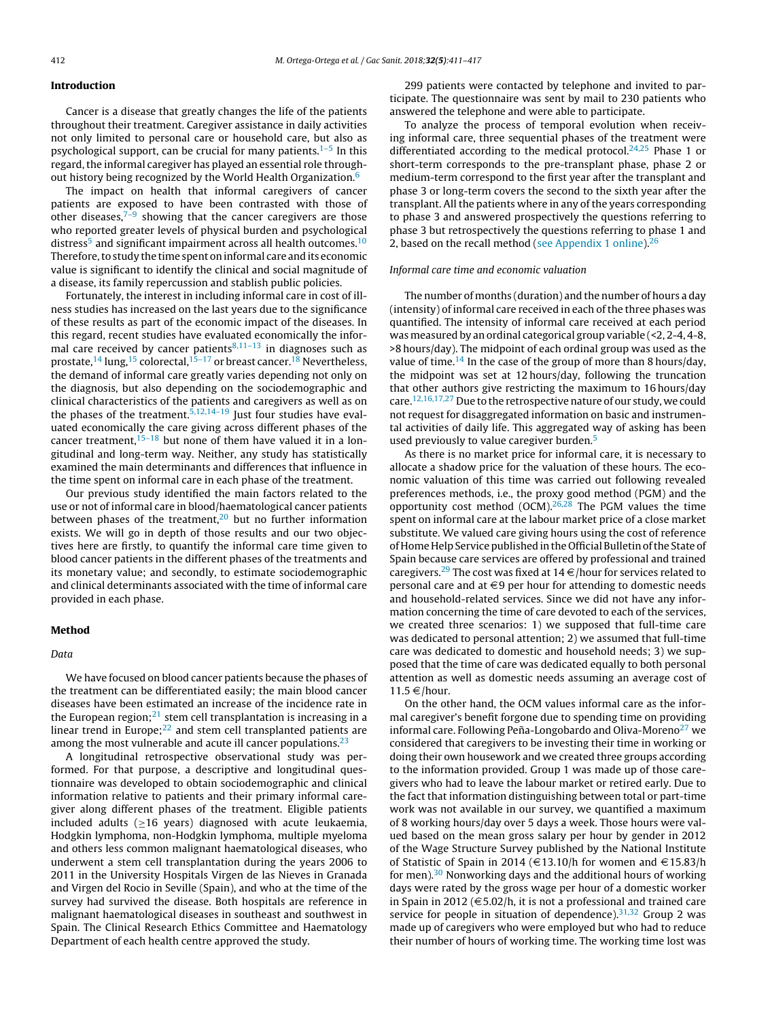#### Introduction

Cancer is a disease that greatly changes the life of the patients throughout their treatment. Caregiver assistance in daily activities not only limited to personal care or household care, but also as psychological support, can be crucial for many patients.<sup>[1–5](#page-5-0)</sup> In this regard, the informal caregiver has played an essential role throughout history being recognized by the World Health Organization.[6](#page-5-0)

The impact on health that informal caregivers of cancer patients are exposed to have been contrasted with those of other diseases, $7-9$  showing that the cancer caregivers are those who reported greater levels of physical burden and psychological distress<sup>[5](#page-5-0)</sup> and significant impairment across all health outcomes.<sup>[10](#page-5-0)</sup> Therefore, to study the time spent on informal care and its economic value is significant to identify the clinical and social magnitude of a disease, its family repercussion and stablish public policies.

Fortunately, the interest in including informal care in cost of illness studies has increased on the last years due to the significance of these results as part of the economic impact of the diseases. In this regard, recent studies have evaluated economically the informal care received by cancer patients $8,11-13$  in diagnoses such as prostate,<sup>[14](#page-6-0)</sup> lung,<sup>[15](#page-6-0)</sup> colorectal,<sup>15-17</sup> or breast cancer.<sup>[18](#page-6-0)</sup> Nevertheless, the demand of informal care greatly varies depending not only on the diagnosis, but also depending on the sociodemographic and clinical characteristics of the patients and caregivers as well as on the phases of the treatment.<sup>5,12,14-19</sup> Just four studies have evaluated economically the care giving across different phases of the cancer treatment,  $15-18$  but none of them have valued it in a longitudinal and long-term way. Neither, any study has statistically examined the main determinants and differences that influence in the time spent on informal care in each phase of the treatment.

Our previous study identified the main factors related to the use or not of informal care in blood/haematological cancer patients between phases of the treatment, $20$  but no further information exists. We will go in depth of those results and our two objectives here are firstly, to quantify the informal care time given to blood cancer patients in the different phases of the treatments and its monetary value; and secondly, to estimate sociodemographic and clinical determinants associated with the time of informal care provided in each phase.

#### Method

#### Data

We have focused on blood cancer patients because the phases of the treatment can be differentiated easily; the main blood cancer diseases have been estimated an increase of the incidence rate in the European region; $^{21}$  $^{21}$  $^{21}$  stem cell transplantation is increasing in a linear trend in Europe; $^{22}$  $^{22}$  $^{22}$  and stem cell transplanted patients are among the most vulnerable and acute ill cancer populations. $2<sup>3</sup>$ 

A longitudinal retrospective observational study was performed. For that purpose, a descriptive and longitudinal questionnaire was developed to obtain sociodemographic and clinical information relative to patients and their primary informal caregiver along different phases of the treatment. Eligible patients included adults ( $\geq$ 16 years) diagnosed with acute leukaemia, Hodgkin lymphoma, non-Hodgkin lymphoma, multiple myeloma and others less common malignant haematological diseases, who underwent a stem cell transplantation during the years 2006 to 2011 in the University Hospitals Virgen de las Nieves in Granada and Virgen del Rocio in Seville (Spain), and who at the time of the survey had survived the disease. Both hospitals are reference in malignant haematological diseases in southeast and southwest in Spain. The Clinical Research Ethics Committee and Haematology Department of each health centre approved the study.

299 patients were contacted by telephone and invited to participate. The questionnaire was sent by mail to 230 patients who answered the telephone and were able to participate.

To analyze the process of temporal evolution when receiving informal care, three sequential phases of the treatment were differentiated according to the medical protocol.<sup>[24,25](#page-6-0)</sup> Phase 1 or short-term corresponds to the pre-transplant phase, phase 2 or medium-term correspond to the first year after the transplant and phase 3 or long-term covers the second to the sixth year after the transplant. All the patients where in any of the years corresponding to phase 3 and answered prospectively the questions referring to phase 3 but retrospectively the questions referring to phase 1 and 2, based on the recall method ([see](#page-5-0) [Appendix](#page-5-0) [1](#page-5-0) [online\).](#page-5-0) $26$ 

#### Informal care time and economic valuation

The number of months (duration) and the number of hours a day (intensity) of informal care received in each of the three phases was quantified. The intensity of informal care received at each period was measured by an ordinal categorical group variable (<2, 2-4, 4-8, >8 hours/day). The midpoint of each ordinal group was used as the value of time.<sup>[14](#page-6-0)</sup> In the case of the group of more than 8 hours/day, the midpoint was set at 12 hours/day, following the truncation that other authors give restricting the maximum to 16 hours/day care.[12,16,17,27](#page-5-0) Due to the retrospective nature of our study, we could not request for disaggregated information on basic and instrumental activities of daily life. This aggregated way of asking has been used previously to value caregiver burden.<sup>[5](#page-5-0)</sup>

As there is no market price for informal care, it is necessary to allocate a shadow price for the valuation of these hours. The economic valuation of this time was carried out following revealed preferences methods, i.e., the proxy good method (PGM) and the opportunity cost method  $(OCM)<sup>26,28</sup>$  $(OCM)<sup>26,28</sup>$  $(OCM)<sup>26,28</sup>$  The PGM values the time spent on informal care at the labour market price of a close market substitute. We valued care giving hours using the cost of reference of Home Help Service published in the Official Bulletin of the State of Spain because care services are offered by professional and trained caregivers.<sup>[29](#page-6-0)</sup> The cost was fixed at  $14 \in$ /hour for services related to personal care and at  $\in$ 9 per hour for attending to domestic needs and household-related services. Since we did not have any information concerning the time of care devoted to each of the services, we created three scenarios: 1) we supposed that full-time care was dedicated to personal attention; 2) we assumed that full-time care was dedicated to domestic and household needs; 3) we supposed that the time of care was dedicated equally to both personal attention as well as domestic needs assuming an average cost of  $11.5 \in$ /hour.

On the other hand, the OCM values informal care as the informal caregiver's benefit forgone due to spending time on providing informal care. Following Peña-Longobardo and Oliva-Moreno<sup>[27](#page-6-0)</sup> we considered that caregivers to be investing their time in working or doing their own housework and we created three groups according to the information provided. Group 1 was made up of those caregivers who had to leave the labour market or retired early. Due to the fact that information distinguishing between total or part-time work was not available in our survey, we quantified a maximum of 8 working hours/day over 5 days a week. Those hours were valued based on the mean gross salary per hour by gender in 2012 of the Wage Structure Survey published by the National Institute of Statistic of Spain in 2014 ( $\in$ 13.10/h for women and  $\in$ 15.83/h for men).<sup>[30](#page-6-0)</sup> Nonworking days and the additional hours of working days were rated by the gross wage per hour of a domestic worker in Spain in 2012 ( $\in$  5.02/h, it is not a professional and trained care service for people in situation of dependence). $31,32$  Group 2 was made up of caregivers who were employed but who had to reduce their number of hours of working time. The working time lost was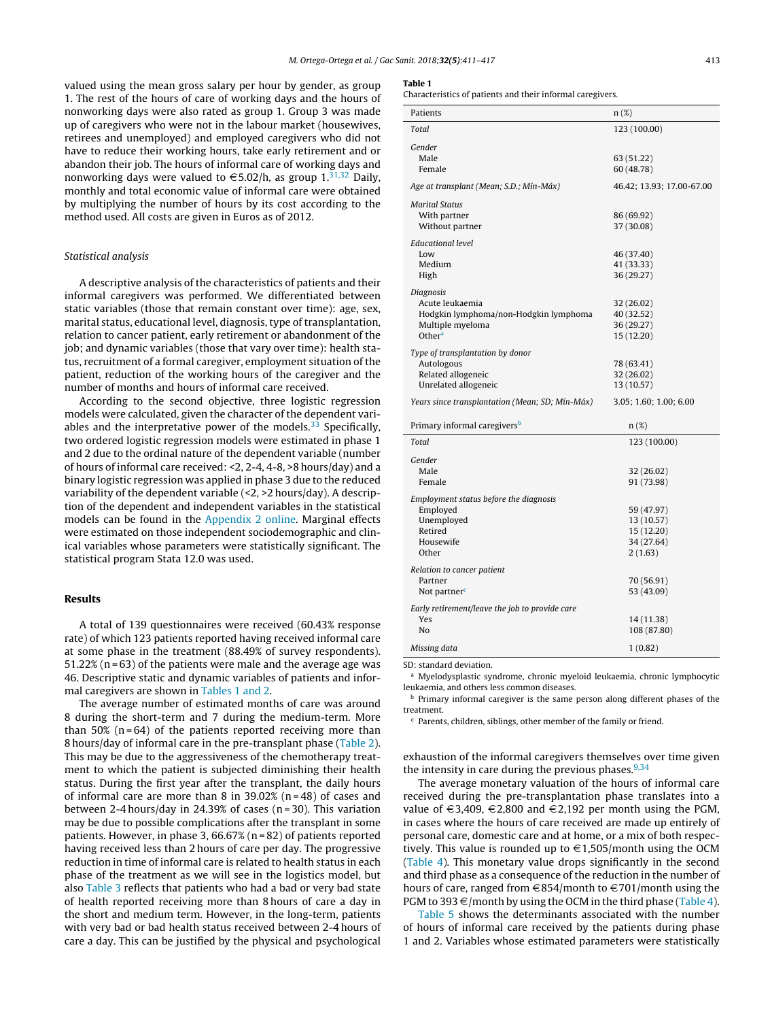valued using the mean gross salary per hour by gender, as group 1. The rest of the hours of care of working days and the hours of nonworking days were also rated as group 1. Group 3 was made up of caregivers who were not in the labour market (housewives, retirees and unemployed) and employed caregivers who did not have to reduce their working hours, take early retirement and or abandon their job. The hours of informal care of working days and nonworking days were valued to  $\in$  5.02/h, as group 1.<sup>[31,32](#page-6-0)</sup> Daily, monthly and total economic value of informal care were obtained by multiplying the number of hours by its cost according to the method used. All costs are given in Euros as of 2012.

#### Statistical analysis

A descriptive analysis of the characteristics of patients and their informal caregivers was performed. We differentiated between static variables (those that remain constant over time): age, sex, marital status, educational level, diagnosis, type of transplantation, relation to cancer patient, early retirement or abandonment of the job; and dynamic variables (those that vary over time): health status, recruitment of a formal caregiver, employment situation of the patient, reduction of the working hours of the caregiver and the number of months and hours of informal care received.

According to the second objective, three logistic regression models were calculated, given the character of the dependent variables and the interpretative power of the models. $33$  Specifically, two ordered logistic regression models were estimated in phase 1 and 2 due to the ordinal nature of the dependent variable (number of hours of informal care received: <2, 2-4, 4-8, >8 hours/day) and a binary logistic regression was applied in phase 3 due to the reduced variability of the dependent variable (<2, >2 hours/day). A description of the dependent and independent variables in the statistical models can be found in the [Appendix](#page-5-0) [2](#page-5-0) [online.](#page-5-0) Marginal effects were estimated on those independent sociodemographic and clinical variables whose parameters were statistically significant. The statistical program Stata 12.0 was used.

#### Results

A total of 139 questionnaires were received (60.43% response rate) of which 123 patients reported having received informal care at some phase in the treatment (88.49% of survey respondents). 51.22% (n = 63) of the patients were male and the average age was 46. Descriptive static and dynamic variables of patients and informal caregivers are shown in Tables 1 and 2.

The average number of estimated months of care was around 8 during the short-term and 7 during the medium-term. More than  $50\%$  (n=64) of the patients reported receiving more than 8 hours/day of informal care in the pre-transplant phase ([Table](#page-3-0) 2). This may be due to the aggressiveness of the chemotherapy treatment to which the patient is subjected diminishing their health status. During the first year after the transplant, the daily hours of informal care are more than 8 in  $39.02\%$  (n=48) of cases and between 2-4 hours/day in 24.39% of cases (n = 30). This variation may be due to possible complications after the transplant in some patients. However, in phase 3, 66.67% (n = 82) of patients reported having received less than 2 hours of care per day. The progressive reduction in time of informal care is related to health status in each phase of the treatment as we will see in the logistics model, but also [Table](#page-3-0) 3 reflects that patients who had a bad or very bad state of health reported receiving more than 8 hours of care a day in the short and medium term. However, in the long-term, patients with very bad or bad health status received between 2-4 hours of care a day. This can be justified by the physical and psychological

#### Table 1

Characteristics of patients and their informal caregivers.

| Patients                                        | $n(\%)$                   |
|-------------------------------------------------|---------------------------|
| Total                                           | 123 (100.00)              |
| Gender                                          |                           |
| Male                                            | 63 (51.22)                |
| Female                                          | 60 (48.78)                |
| Age at transplant (Mean; S.D.; Mín-Máx)         | 46.42; 13.93; 17.00-67.00 |
|                                                 |                           |
| Marital Status                                  |                           |
| With partner                                    | 86 (69.92)                |
| Without partner                                 | 37 (30.08)                |
| <b>Educational level</b>                        |                           |
| Low                                             | 46 (37.40)                |
| Medium                                          | 41 (33.33)                |
| High                                            | 36 (29.27)                |
| Diagnosis                                       |                           |
| Acute leukaemia                                 | 32 (26.02)                |
| Hodgkin lymphoma/non-Hodgkin lymphoma           | 40 (32.52)                |
| Multiple myeloma                                | 36 (29.27)                |
| Other <sup>a</sup>                              | 15 (12.20)                |
|                                                 |                           |
| Type of transplantation by donor                |                           |
| Autologous                                      | 78 (63.41)                |
| Related allogeneic                              | 32 (26.02)                |
| Unrelated allogeneic                            | 13 (10.57)                |
| Years since transplantation (Mean; SD; Mín-Máx) | 3.05; 1.60; 1.00; 6.00    |
| Primary informal caregivers <sup>b</sup>        | $n(\%)$                   |
|                                                 |                           |
| Total                                           | 123 (100.00)              |
| Gender                                          |                           |
| Male                                            | 32 (26.02)                |
| Female                                          | 91 (73.98)                |
| Employment status before the diagnosis          |                           |
| Employed                                        | 59 (47.97)                |
| Unemployed                                      | 13 (10.57)                |
| Retired                                         | 15 (12.20)                |
| Housewife                                       | 34 (27.64)                |
| Other                                           | 2(1.63)                   |
|                                                 |                           |
| Relation to cancer patient                      |                           |
| Partner                                         | 70 (56.91)                |
| Not partner <sup>c</sup>                        | 53 (43.09)                |
| Early retirement/leave the job to provide care  |                           |
| Yes                                             | 14 (11.38)                |
| No                                              | 108 (87.80)               |
|                                                 |                           |
| Missing data                                    | 1(0.82)                   |

SD: standard deviation.

<sup>a</sup> Myelodysplastic syndrome, chronic myeloid leukaemia, chronic lymphocytic leukaemia, and others less common diseases.

b Primary informal caregiver is the same person along different phases of the treatment.

<sup>c</sup> Parents, children, siblings, other member of the family or friend.

exhaustion of the informal caregivers themselves over time given the intensity in care during the previous phases. $9,34$ 

The average monetary valuation of the hours of informal care received during the pre-transplantation phase translates into a value of  $\in$ 3,409,  $\in$ 2,800 and  $\in$ 2,192 per month using the PGM, in cases where the hours of care received are made up entirely of personal care, domestic care and at home, or a mix of both respectively. This value is rounded up to  $\epsilon$ 1,505/month using the OCM [\(Table](#page-4-0) 4). This monetary value drops significantly in the second and third phase as a consequence of the reduction in the number of hours of care, ranged from  $\epsilon$ 854/month to  $\epsilon$ 701/month using the PGM to 393  $\in$ /month by using the OCM in the third phase ([Table](#page-4-0) 4).

[Table](#page-4-0) 5 shows the determinants associated with the number of hours of informal care received by the patients during phase 1 and 2. Variables whose estimated parameters were statistically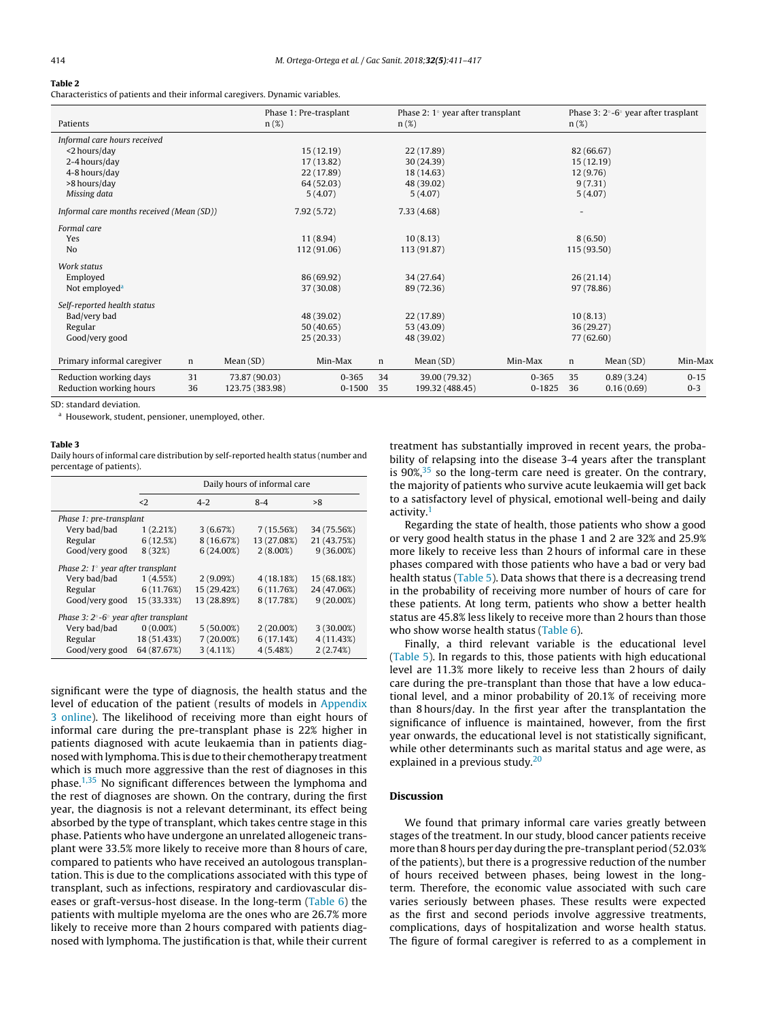## <span id="page-3-0"></span>Table 2

Characteristics of patients and their informal caregivers. Dynamic variables.

| Patients                                  | $n(\%)$         | Phase 1: Pre-trasplant |    | Phase 2: $1^\circ$ year after transplant<br>$n(\%)$ |            | $n(\%)$                  | Phase 3: $2^{\circ}$ -6 $^{\circ}$ year after trasplant |          |
|-------------------------------------------|-----------------|------------------------|----|-----------------------------------------------------|------------|--------------------------|---------------------------------------------------------|----------|
|                                           |                 |                        |    |                                                     |            |                          |                                                         |          |
| Informal care hours received              |                 |                        |    |                                                     |            |                          |                                                         |          |
| <2 hours/day                              |                 | 15(12.19)              |    | 22 (17.89)                                          |            |                          | 82 (66.67)                                              |          |
| 2-4 hours/day                             |                 | 17(13.82)              |    | 30(24.39)                                           |            |                          | 15(12.19)                                               |          |
| 4-8 hours/day                             |                 | 22 (17.89)             |    | 18 (14.63)                                          |            | 12(9.76)                 |                                                         |          |
| >8 hours/day                              |                 | 64 (52.03)             |    | 48 (39.02)                                          |            |                          | 9(7.31)                                                 |          |
| Missing data                              |                 | 5(4.07)                |    | 5(4.07)                                             |            |                          | 5(4.07)                                                 |          |
| Informal care months received (Mean (SD)) |                 | 7.92(5.72)             |    | 7.33(4.68)                                          |            | $\overline{\phantom{0}}$ |                                                         |          |
| Formal care                               |                 |                        |    |                                                     |            |                          |                                                         |          |
| Yes                                       |                 | 11(8.94)               |    | 10(8.13)                                            |            |                          | 8(6.50)                                                 |          |
| N <sub>o</sub>                            |                 | 112 (91.06)            |    | 113 (91.87)                                         |            | 115 (93.50)              |                                                         |          |
| Work status                               |                 |                        |    |                                                     |            |                          |                                                         |          |
| Employed                                  |                 | 86 (69.92)             |    | 34 (27.64)                                          |            |                          | 26(21.14)                                               |          |
| Not employed <sup>a</sup>                 |                 | 37 (30.08)             |    | 89 (72.36)                                          |            |                          | 97 (78.86)                                              |          |
| Self-reported health status               |                 |                        |    |                                                     |            |                          |                                                         |          |
| Bad/very bad                              |                 | 48 (39.02)             |    | 22 (17.89)                                          |            | 10(8.13)                 |                                                         |          |
| Regular                                   |                 | 50(40.65)              |    | 53 (43.09)                                          |            |                          | 36 (29.27)                                              |          |
| Good/very good                            |                 | 25(20.33)              |    | 48 (39.02)                                          |            |                          | 77 (62.60)                                              |          |
| Primary informal caregiver<br>n           | Mean(SD)        | Min-Max                | n  | Mean (SD)                                           | Min-Max    | $\mathbf n$              | Mean(SD)                                                | Min-Max  |
|                                           |                 |                        |    |                                                     |            |                          |                                                         |          |
| Reduction working days<br>31              | 73.87 (90.03)   | $0 - 365$              | 34 | 39.00 (79.32)                                       | $0 - 365$  | 35                       | 0.89(3.24)                                              | $0 - 15$ |
| Reduction working hours<br>36             | 123.75 (383.98) | 0-1500                 | 35 | 199.32 (488.45)                                     | $0 - 1825$ | 36                       | 0.16(0.69)                                              | $0 - 3$  |

SD: standard deviation.

<sup>a</sup> Housework, student, pensioner, unemployed, other.

#### Table 3

Daily hours of informal care distribution by self-reported health status (number and percentage of patients).

|                                                          | Daily hours of informal care |              |              |              |  |  |  |  |  |
|----------------------------------------------------------|------------------------------|--------------|--------------|--------------|--|--|--|--|--|
|                                                          | $\langle$ 2                  | $4 - 2$      | $8 - 4$      | >8           |  |  |  |  |  |
| Phase 1: pre-transplant                                  |                              |              |              |              |  |  |  |  |  |
| Very bad/bad                                             | 1(2.21%)                     | 3(6.67%)     | 7(15.56%)    | 34 (75.56%)  |  |  |  |  |  |
| Regular                                                  | 6(12.5%)                     | 8 (16.67%)   | 13 (27.08%)  | 21 (43.75%)  |  |  |  |  |  |
| Good/very good                                           | 8 (32%)                      | $6(24.00\%)$ | $2(8.00\%)$  | $9(36.00\%)$ |  |  |  |  |  |
| Phase 2: $1^{\circ}$ year after transplant               |                              |              |              |              |  |  |  |  |  |
| Very bad/bad                                             | 1(4.55%)                     | 2(9.09%)     | 4(18.18%)    | 15 (68.18%)  |  |  |  |  |  |
| Regular                                                  | 6(11.76%)                    | 15 (29.42%)  | 6(11.76%)    | 24 (47.06%)  |  |  |  |  |  |
| Good/very good                                           | 15 (33.33%)                  | 13 (28.89%)  | 8 (17.78%)   | $9(20.00\%)$ |  |  |  |  |  |
| Phase 3: $2^{\circ}$ -6 $^{\circ}$ year after transplant |                              |              |              |              |  |  |  |  |  |
| Very bad/bad                                             | $0(0.00\%)$                  | $5(50.00\%)$ | $2(20.00\%)$ | $3(30.00\%)$ |  |  |  |  |  |
| Regular                                                  | 18 (51.43%)                  | $7(20.00\%)$ | 6(17.14%)    | 4(11.43%)    |  |  |  |  |  |
| Good/very good                                           | 64 (87.67%)                  | $3(4.11\%)$  | 4(5.48%)     | 2(2.74%)     |  |  |  |  |  |

significant were the type of diagnosis, the health status and the level of education of the patient (results of models in [Appendix](#page-5-0) [3](#page-5-0) [online\).](#page-5-0) The likelihood of receiving more than eight hours of informal care during the pre-transplant phase is 22% higher in patients diagnosed with acute leukaemia than in patients diagnosed with lymphoma. This is due to their chemotherapy treatment which is much more aggressive than the rest of diagnoses in this phase. $1,35$  No significant differences between the lymphoma and the rest of diagnoses are shown. On the contrary, during the first year, the diagnosis is not a relevant determinant, its effect being absorbed by the type of transplant, which takes centre stage in this phase. Patients who have undergone an unrelated allogeneic transplant were 33.5% more likely to receive more than 8 hours of care, compared to patients who have received an autologous transplantation. This is due to the complications associated with this type of transplant, such as infections, respiratory and cardiovascular diseases or graft-versus-host disease. In the long-term [\(Table](#page-5-0) 6) the patients with multiple myeloma are the ones who are 26.7% more likely to receive more than 2 hours compared with patients diagnosed with lymphoma. The justification is that, while their current treatment has substantially improved in recent years, the probability of relapsing into the disease 3-4 years after the transplant is  $90\%,^{35}$  $90\%,^{35}$  $90\%,^{35}$  so the long-term care need is greater. On the contrary, the majority of patients who survive acute leukaemia will get back to a satisfactory level of physical, emotional well-being and daily activity.[1](#page-5-0)

Regarding the state of health, those patients who show a good or very good health status in the phase 1 and 2 are 32% and 25.9% more likely to receive less than 2 hours of informal care in these phases compared with those patients who have a bad or very bad health status [\(Table](#page-4-0) 5). Data shows that there is a decreasing trend in the probability of receiving more number of hours of care for these patients. At long term, patients who show a better health status are 45.8% less likely to receive more than 2 hours than those who show worse health status ([Table](#page-5-0) 6).

Finally, a third relevant variable is the educational level [\(Table](#page-4-0) 5). In regards to this, those patients with high educational level are 11.3% more likely to receive less than 2 hours of daily care during the pre-transplant than those that have a low educational level, and a minor probability of 20.1% of receiving more than 8 hours/day. In the first year after the transplantation the significance of influence is maintained, however, from the first year onwards, the educational level is not statistically significant, while other determinants such as marital status and age were, as explained in a previous study.<sup>[20](#page-6-0)</sup>

#### Discussion

We found that primary informal care varies greatly between stages of the treatment. In our study, blood cancer patients receive more than 8 hours per day during the pre-transplant period (52.03% of the patients), but there is a progressive reduction of the number of hours received between phases, being lowest in the longterm. Therefore, the economic value associated with such care varies seriously between phases. These results were expected as the first and second periods involve aggressive treatments, complications, days of hospitalization and worse health status. The figure of formal caregiver is referred to as a complement in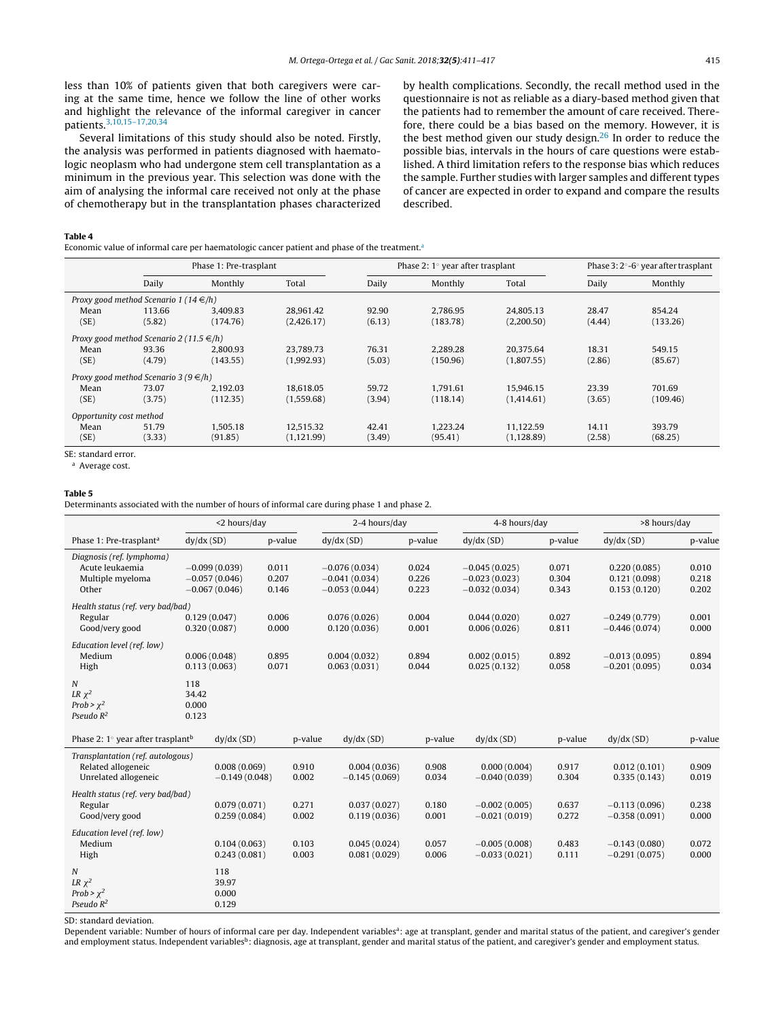<span id="page-4-0"></span>less than 10% of patients given that both caregivers were caring at the same time, hence we follow the line of other works and highlight the relevance of the informal caregiver in cancer patients.[3,10,15–17,20,34](#page-5-0)

Several limitations of this study should also be noted. Firstly, the analysis was performed in patients diagnosed with haematologic neoplasm who had undergone stem cell transplantation as a minimum in the previous year. This selection was done with the aim of analysing the informal care received not only at the phase of chemotherapy but in the transplantation phases characterized by health complications. Secondly, the recall method used in the questionnaire is not as reliable as a diary-based method given that the patients had to remember the amount of care received. Therefore, there could be a bias based on the memory. However, it is the best method given our study design.<sup>[26](#page-6-0)</sup> In order to reduce the possible bias, intervals in the hours of care questions were established. A third limitation refers to the response bias which reduces the sample. Further studies with larger samples and different types of cancer are expected in order to expand and compare the results described.

#### Table 4

Economic value of informal care per haematologic cancer patient and phase of the treatment.<sup>a</sup>

|                         |                                              | Phase 1: Pre-trasplant |             |        | Phase $2:1^{\circ}$ year after trasplant | Phase 3: 2°-6° year after trasplant |        |          |
|-------------------------|----------------------------------------------|------------------------|-------------|--------|------------------------------------------|-------------------------------------|--------|----------|
|                         | Daily                                        | Monthly                | Total       | Daily  | Monthly                                  | Total                               | Daily  | Monthly  |
|                         | Proxy good method Scenario 1 (14 $\in$ /h)   |                        |             |        |                                          |                                     |        |          |
| Mean                    | 113.66                                       | 3.409.83               | 28.961.42   | 92.90  | 2.786.95                                 | 24.805.13                           | 28.47  | 854.24   |
| (SE)                    | (5.82)                                       | (174.76)               | (2,426.17)  | (6.13) | (183.78)                                 | (2,200.50)                          | (4.44) | (133.26) |
|                         | Proxy good method Scenario 2 (11.5 $\in$ /h) |                        |             |        |                                          |                                     |        |          |
| Mean                    | 93.36                                        | 2.800.93               | 23.789.73   | 76.31  | 2.289.28                                 | 20.375.64                           | 18.31  | 549.15   |
| (SE)                    | (4.79)                                       | (143.55)               | (1,992.93)  | (5.03) | (150.96)                                 | (1,807.55)                          | (2.86) | (85.67)  |
|                         | Proxy good method Scenario 3 (9 $\in$ /h)    |                        |             |        |                                          |                                     |        |          |
| Mean                    | 73.07                                        | 2.192.03               | 18.618.05   | 59.72  | 1.791.61                                 | 15.946.15                           | 23.39  | 701.69   |
| (SE)                    | (3.75)                                       | (112.35)               | (1,559.68)  | (3.94) | (118.14)                                 | (1,414.61)                          | (3.65) | (109.46) |
| Opportunity cost method |                                              |                        |             |        |                                          |                                     |        |          |
| Mean                    | 51.79                                        | 1.505.18               | 12.515.32   | 42.41  | 1.223.24                                 | 11.122.59                           | 14.11  | 393.79   |
| (SE)                    | (3.33)                                       | (91.85)                | (1, 121.99) | (3.49) | (95.41)                                  | (1,128.89)                          | (2.58) | (68.25)  |

#### <sup>a</sup> Average cost.

#### Table 5

Determinants associated with the number of hours of informal care during phase 1 and phase 2.

|                                                                                 | <2 hours/day                                          |                         |                | 2-4 hours/day                                         |                         | 4-8 hours/day                                         |                         | >8 hours/day                                 |                         |
|---------------------------------------------------------------------------------|-------------------------------------------------------|-------------------------|----------------|-------------------------------------------------------|-------------------------|-------------------------------------------------------|-------------------------|----------------------------------------------|-------------------------|
| Phase 1: Pre-trasplant <sup>a</sup>                                             | dy/dx(SD)                                             | p-value                 |                | dy/dx(SD)                                             | p-value                 | dy/dx(SD)                                             | p-value                 | dy/dx(SD)                                    | p-value                 |
| Diagnosis (ref. lymphoma)<br>Acute leukaemia<br>Multiple myeloma<br>Other       | $-0.099(0.039)$<br>$-0.057(0.046)$<br>$-0.067(0.046)$ | 0.011<br>0.207<br>0.146 |                | $-0.076(0.034)$<br>$-0.041(0.034)$<br>$-0.053(0.044)$ | 0.024<br>0.226<br>0.223 | $-0.045(0.025)$<br>$-0.023(0.023)$<br>$-0.032(0.034)$ | 0.071<br>0.304<br>0.343 | 0.220(0.085)<br>0.121(0.098)<br>0.153(0.120) | 0.010<br>0.218<br>0.202 |
| Health status (ref. very bad/bad)<br>Regular<br>Good/very good                  | 0.129(0.047)<br>0.320(0.087)                          | 0.006<br>0.000          |                | 0.076(0.026)<br>0.120(0.036)                          | 0.004<br>0.001          | 0.044(0.020)<br>0.006(0.026)                          | 0.027<br>0.811          | $-0.249(0.779)$<br>$-0.446(0.074)$           | 0.001<br>0.000          |
| Education level (ref. low)<br>Medium<br>High                                    | 0.006(0.048)<br>0.113(0.063)                          | 0.895<br>0.071          |                | 0.004(0.032)<br>0.063(0.031)                          | 0.894<br>0.044          | 0.002(0.015)<br>0.025(0.132)                          | 0.892<br>0.058          | $-0.013(0.095)$<br>$-0.201(0.095)$           | 0.894<br>0.034          |
| N<br>LR $\chi^2$<br>Prob > $\chi^2$<br>Pseudo $R^2$                             | 118<br>34.42<br>0.000<br>0.123                        |                         |                |                                                       |                         |                                                       |                         |                                              |                         |
| Phase 2: $1^{\circ}$ year after trasplant <sup>b</sup>                          | dy/dx(SD)                                             |                         | p-value        | dy/dx(SD)                                             | p-value                 | dy/dx(SD)                                             | p-value                 | dy/dx(SD)                                    | p-value                 |
| Transplantation (ref. autologous)<br>Related allogeneic<br>Unrelated allogeneic | 0.008(0.069)<br>$-0.149(0.048)$                       |                         | 0.910<br>0.002 | 0.004(0.036)<br>$-0.145(0.069)$                       | 0.908<br>0.034          | 0.000(0.004)<br>$-0.040(0.039)$                       | 0.917<br>0.304          | 0.012(0.101)<br>0.335(0.143)                 | 0.909<br>0.019          |
| Health status (ref. very bad/bad)<br>Regular<br>Good/very good                  | 0.079(0.071)<br>0.259(0.084)                          |                         | 0.271<br>0.002 | 0.037(0.027)<br>0.119(0.036)                          | 0.180<br>0.001          | $-0.002(0.005)$<br>$-0.021(0.019)$                    | 0.637<br>0.272          | $-0.113(0.096)$<br>$-0.358(0.091)$           | 0.238<br>0.000          |
| Education level (ref. low)<br>Medium<br>High                                    | 0.104(0.063)<br>0.243(0.081)                          |                         | 0.103<br>0.003 | 0.045(0.024)<br>0.081(0.029)                          | 0.057<br>0.006          | $-0.005(0.008)$<br>$-0.033(0.021)$                    | 0.483<br>0.111          | $-0.143(0.080)$<br>$-0.291(0.075)$           | 0.072<br>0.000          |
| N<br>LR $\chi^2$<br>Prob > $\chi^2$<br>Pseudo $R^2$                             | 118<br>39.97<br>0.000<br>0.129                        |                         |                |                                                       |                         |                                                       |                         |                                              |                         |

SD: standard deviation.

Dependent variable: Number of hours of informal care per day. Independent variables<sup>a</sup>: age at transplant, gender and marital status of the patient, and caregiver's gender and employment status. Independent variables<sup>b</sup>: diagnosis, age at transplant, gender and marital status of the patient, and caregiver's gender and employment status.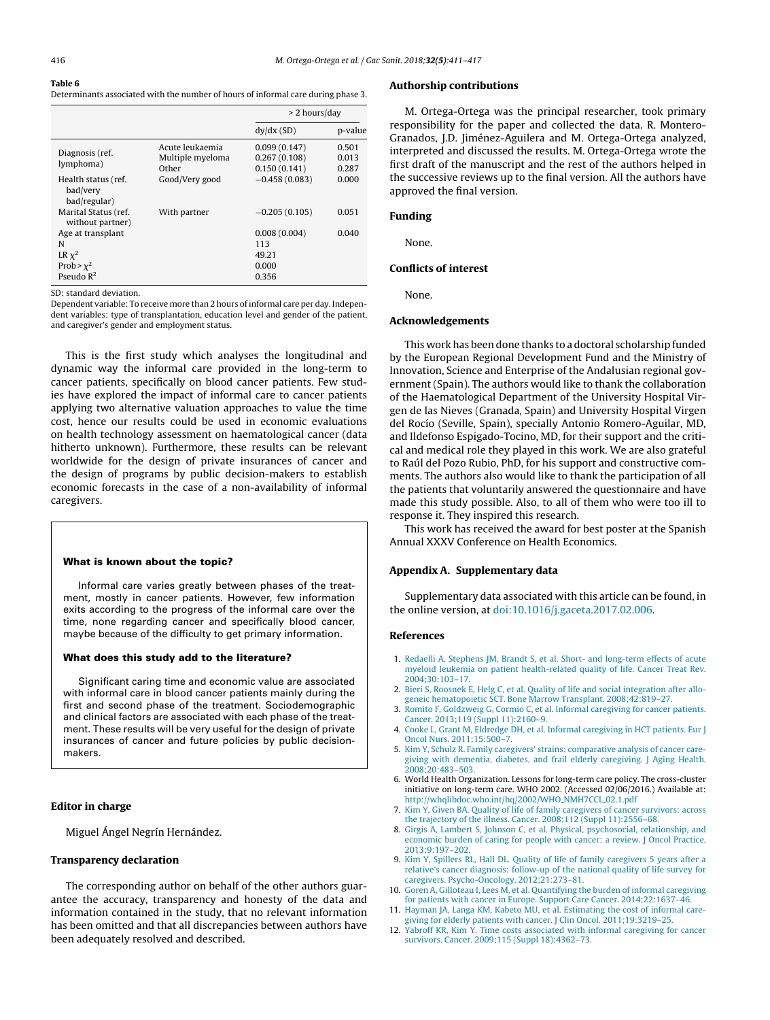#### <span id="page-5-0"></span>Table 6

Determinants associated with the number of hours of informal care during phase 3.

|                                                 |                                              | > 2 hours/day                                |                         |
|-------------------------------------------------|----------------------------------------------|----------------------------------------------|-------------------------|
|                                                 |                                              | dy/dx(SD)                                    | p-value                 |
| Diagnosis (ref.<br>lymphoma)                    | Acute leukaemia<br>Multiple myeloma<br>Other | 0.099(0.147)<br>0.267(0.108)<br>0.150(0.141) | 0.501<br>0.013<br>0.287 |
| Health status (ref.<br>bad/very<br>bad/regular) | Good/Very good                               | $-0.458(0.083)$                              | 0.000                   |
| Marital Status (ref.<br>without partner)        | With partner                                 | $-0.205(0.105)$                              | 0.051                   |
| Age at transplant                               |                                              | 0.008(0.004)                                 | 0.040                   |
| N                                               |                                              | 113                                          |                         |
| LR $\chi^2$                                     |                                              | 49.21                                        |                         |
| Prob > $\chi^2$                                 |                                              | 0.000                                        |                         |
| Pseudo $R^2$                                    |                                              | 0.356                                        |                         |

SD: standard deviation.

Dependent variable: To receive more than 2 hours of informal care per day. Independent variables: type of transplantation, education level and gender of the patient, and caregiver's gender and employment status.

This is the first study which analyses the longitudinal and dynamic way the informal care provided in the long-term to cancer patients, specifically on blood cancer patients. Few studies have explored the impact of informal care to cancer patients applying two alternative valuation approaches to value the time cost, hence our results could be used in economic evaluations on health technology assessment on haematological cancer (data hitherto unknown). Furthermore, these results can be relevant worldwide for the design of private insurances of cancer and the design of programs by public decision-makers to establish economic forecasts in the case of a non-availability of informal caregivers.

#### What is known about the topic?

Informal care varies greatly between phases of the treatment, mostly in cancer patients. However, few information exits according to the progress of the informal care over the time, none regarding cancer and specifically blood cancer, maybe because of the difficulty to get primary information.

#### What does this study add to the literature?

Significant caring time and economic value are associated with informal care in blood cancer patients mainly during the first and second phase of the treatment. Sociodemographic and clinical factors are associated with each phase of the treatment. These results will be very useful for the design of private insurances of cancer and future policies by public decisionmakers.

#### Editor in charge

Miguel Ángel Negrín Hernández.

#### Transparency declaration

The corresponding author on behalf of the other authors guarantee the accuracy, transparency and honesty of the data and information contained in the study, that no relevant information has been omitted and that all discrepancies between authors have been adequately resolved and described.

#### Authorship contributions

M. Ortega-Ortega was the principal researcher, took primary responsibility for the paper and collected the data. R. Montero-Granados, J.D. Jiménez-Aguilera and M. Ortega-Ortega analyzed, interpreted and discussed the results. M. Ortega-Ortega wrote the first draft of the manuscript and the rest of the authors helped in the successive reviews up to the final version. All the authors have approved the final version.

#### Funding

None.

#### Conflicts of interest

None.

#### Acknowledgements

This work has been done thanks to a doctoral scholarship funded by the European Regional Development Fund and the Ministry of Innovation, Science and Enterprise of the Andalusian regional government (Spain). The authors would like to thank the collaboration of the Haematological Department of the University Hospital Virgen de las Nieves (Granada, Spain) and University Hospital Virgen del Rocío (Seville, Spain), specially Antonio Romero-Aguilar, MD, and Ildefonso Espigado-Tocino, MD, for their support and the critical and medical role they played in this work. We are also grateful to Raúl del Pozo Rubio, PhD, for his support and constructive comments. The authors also would like to thank the participation of all the patients that voluntarily answered the questionnaire and have made this study possible. Also, to all of them who were too ill to response it. They inspired this research.

This work has received the award for best poster at the Spanish Annual XXXV Conference on Health Economics.

#### Appendix A. Supplementary data

Supplementary data associated with this article can be found, in the online version, at [doi:10.1016/j.gaceta.2017.02.006](http://dx.doi.org/10.1016/j.gaceta.2017.02.006).

#### References

- 1. [Redaelli](http://refhub.elsevier.com/S0213-9111(17)30094-8/sbref0180) [A,](http://refhub.elsevier.com/S0213-9111(17)30094-8/sbref0180) [Stephens](http://refhub.elsevier.com/S0213-9111(17)30094-8/sbref0180) [JM,](http://refhub.elsevier.com/S0213-9111(17)30094-8/sbref0180) [Brandt](http://refhub.elsevier.com/S0213-9111(17)30094-8/sbref0180) [S,](http://refhub.elsevier.com/S0213-9111(17)30094-8/sbref0180) [et](http://refhub.elsevier.com/S0213-9111(17)30094-8/sbref0180) [al.](http://refhub.elsevier.com/S0213-9111(17)30094-8/sbref0180) [Short-](http://refhub.elsevier.com/S0213-9111(17)30094-8/sbref0180) [and](http://refhub.elsevier.com/S0213-9111(17)30094-8/sbref0180) [long-term](http://refhub.elsevier.com/S0213-9111(17)30094-8/sbref0180) [effects](http://refhub.elsevier.com/S0213-9111(17)30094-8/sbref0180) [of](http://refhub.elsevier.com/S0213-9111(17)30094-8/sbref0180) [acute](http://refhub.elsevier.com/S0213-9111(17)30094-8/sbref0180) [myeloid](http://refhub.elsevier.com/S0213-9111(17)30094-8/sbref0180) [leukemia](http://refhub.elsevier.com/S0213-9111(17)30094-8/sbref0180) [on](http://refhub.elsevier.com/S0213-9111(17)30094-8/sbref0180) [patient](http://refhub.elsevier.com/S0213-9111(17)30094-8/sbref0180) [health-related](http://refhub.elsevier.com/S0213-9111(17)30094-8/sbref0180) [quality](http://refhub.elsevier.com/S0213-9111(17)30094-8/sbref0180) [of](http://refhub.elsevier.com/S0213-9111(17)30094-8/sbref0180) [life.](http://refhub.elsevier.com/S0213-9111(17)30094-8/sbref0180) [Cancer](http://refhub.elsevier.com/S0213-9111(17)30094-8/sbref0180) [Treat](http://refhub.elsevier.com/S0213-9111(17)30094-8/sbref0180) [Rev.](http://refhub.elsevier.com/S0213-9111(17)30094-8/sbref0180) [2004;30:103–17.](http://refhub.elsevier.com/S0213-9111(17)30094-8/sbref0180)
- 2. [Bieri](http://refhub.elsevier.com/S0213-9111(17)30094-8/sbref0185) [S,](http://refhub.elsevier.com/S0213-9111(17)30094-8/sbref0185) [Roosnek](http://refhub.elsevier.com/S0213-9111(17)30094-8/sbref0185) [E,](http://refhub.elsevier.com/S0213-9111(17)30094-8/sbref0185) [Helg](http://refhub.elsevier.com/S0213-9111(17)30094-8/sbref0185) [C,](http://refhub.elsevier.com/S0213-9111(17)30094-8/sbref0185) [et](http://refhub.elsevier.com/S0213-9111(17)30094-8/sbref0185) [al.](http://refhub.elsevier.com/S0213-9111(17)30094-8/sbref0185) [Quality](http://refhub.elsevier.com/S0213-9111(17)30094-8/sbref0185) [of](http://refhub.elsevier.com/S0213-9111(17)30094-8/sbref0185) [life](http://refhub.elsevier.com/S0213-9111(17)30094-8/sbref0185) [and](http://refhub.elsevier.com/S0213-9111(17)30094-8/sbref0185) [social](http://refhub.elsevier.com/S0213-9111(17)30094-8/sbref0185) [integration](http://refhub.elsevier.com/S0213-9111(17)30094-8/sbref0185) [after](http://refhub.elsevier.com/S0213-9111(17)30094-8/sbref0185) [allo](http://refhub.elsevier.com/S0213-9111(17)30094-8/sbref0185)[geneic](http://refhub.elsevier.com/S0213-9111(17)30094-8/sbref0185) [hematopoietic](http://refhub.elsevier.com/S0213-9111(17)30094-8/sbref0185) [SCT.](http://refhub.elsevier.com/S0213-9111(17)30094-8/sbref0185) [Bone](http://refhub.elsevier.com/S0213-9111(17)30094-8/sbref0185) [Marrow](http://refhub.elsevier.com/S0213-9111(17)30094-8/sbref0185) [Transplant.](http://refhub.elsevier.com/S0213-9111(17)30094-8/sbref0185) [2008;42:819–27.](http://refhub.elsevier.com/S0213-9111(17)30094-8/sbref0185)
- 3. [Romito](http://refhub.elsevier.com/S0213-9111(17)30094-8/sbref0190) [F,](http://refhub.elsevier.com/S0213-9111(17)30094-8/sbref0190) [Goldzweig](http://refhub.elsevier.com/S0213-9111(17)30094-8/sbref0190) [G,](http://refhub.elsevier.com/S0213-9111(17)30094-8/sbref0190) [Cormio](http://refhub.elsevier.com/S0213-9111(17)30094-8/sbref0190) [C,](http://refhub.elsevier.com/S0213-9111(17)30094-8/sbref0190) [et](http://refhub.elsevier.com/S0213-9111(17)30094-8/sbref0190) [al.](http://refhub.elsevier.com/S0213-9111(17)30094-8/sbref0190) [Informal](http://refhub.elsevier.com/S0213-9111(17)30094-8/sbref0190) [caregiving](http://refhub.elsevier.com/S0213-9111(17)30094-8/sbref0190) [for](http://refhub.elsevier.com/S0213-9111(17)30094-8/sbref0190) [cancer](http://refhub.elsevier.com/S0213-9111(17)30094-8/sbref0190) [patients.](http://refhub.elsevier.com/S0213-9111(17)30094-8/sbref0190) [Cancer.](http://refhub.elsevier.com/S0213-9111(17)30094-8/sbref0190) [2013;119](http://refhub.elsevier.com/S0213-9111(17)30094-8/sbref0190) [\(Suppl](http://refhub.elsevier.com/S0213-9111(17)30094-8/sbref0190) [11\):2160](http://refhub.elsevier.com/S0213-9111(17)30094-8/sbref0190)–[9.](http://refhub.elsevier.com/S0213-9111(17)30094-8/sbref0190)
- 4. [Cooke](http://refhub.elsevier.com/S0213-9111(17)30094-8/sbref0195) [L,](http://refhub.elsevier.com/S0213-9111(17)30094-8/sbref0195) [Grant](http://refhub.elsevier.com/S0213-9111(17)30094-8/sbref0195) [M,](http://refhub.elsevier.com/S0213-9111(17)30094-8/sbref0195) [Eldredge](http://refhub.elsevier.com/S0213-9111(17)30094-8/sbref0195) [DH,](http://refhub.elsevier.com/S0213-9111(17)30094-8/sbref0195) [et](http://refhub.elsevier.com/S0213-9111(17)30094-8/sbref0195) [al.](http://refhub.elsevier.com/S0213-9111(17)30094-8/sbref0195) [Informal](http://refhub.elsevier.com/S0213-9111(17)30094-8/sbref0195) [caregiving](http://refhub.elsevier.com/S0213-9111(17)30094-8/sbref0195) [in](http://refhub.elsevier.com/S0213-9111(17)30094-8/sbref0195) [HCT](http://refhub.elsevier.com/S0213-9111(17)30094-8/sbref0195) [patients.](http://refhub.elsevier.com/S0213-9111(17)30094-8/sbref0195) [Eur](http://refhub.elsevier.com/S0213-9111(17)30094-8/sbref0195) [J](http://refhub.elsevier.com/S0213-9111(17)30094-8/sbref0195) [Oncol](http://refhub.elsevier.com/S0213-9111(17)30094-8/sbref0195) [Nurs.](http://refhub.elsevier.com/S0213-9111(17)30094-8/sbref0195) [2011;15:500](http://refhub.elsevier.com/S0213-9111(17)30094-8/sbref0195)–[7.](http://refhub.elsevier.com/S0213-9111(17)30094-8/sbref0195)
- 5. [Kim](http://refhub.elsevier.com/S0213-9111(17)30094-8/sbref0200) [Y,](http://refhub.elsevier.com/S0213-9111(17)30094-8/sbref0200) [Schulz](http://refhub.elsevier.com/S0213-9111(17)30094-8/sbref0200) [R.](http://refhub.elsevier.com/S0213-9111(17)30094-8/sbref0200) [Family](http://refhub.elsevier.com/S0213-9111(17)30094-8/sbref0200) [caregivers'](http://refhub.elsevier.com/S0213-9111(17)30094-8/sbref0200) [strains:](http://refhub.elsevier.com/S0213-9111(17)30094-8/sbref0200) [comparative](http://refhub.elsevier.com/S0213-9111(17)30094-8/sbref0200) [analysis](http://refhub.elsevier.com/S0213-9111(17)30094-8/sbref0200) [of](http://refhub.elsevier.com/S0213-9111(17)30094-8/sbref0200) [cancer](http://refhub.elsevier.com/S0213-9111(17)30094-8/sbref0200) [care](http://refhub.elsevier.com/S0213-9111(17)30094-8/sbref0200)[giving](http://refhub.elsevier.com/S0213-9111(17)30094-8/sbref0200) [with](http://refhub.elsevier.com/S0213-9111(17)30094-8/sbref0200) [dementia,](http://refhub.elsevier.com/S0213-9111(17)30094-8/sbref0200) [diabetes,](http://refhub.elsevier.com/S0213-9111(17)30094-8/sbref0200) [and](http://refhub.elsevier.com/S0213-9111(17)30094-8/sbref0200) [frail](http://refhub.elsevier.com/S0213-9111(17)30094-8/sbref0200) [elderly](http://refhub.elsevier.com/S0213-9111(17)30094-8/sbref0200) [caregiving.](http://refhub.elsevier.com/S0213-9111(17)30094-8/sbref0200) [J](http://refhub.elsevier.com/S0213-9111(17)30094-8/sbref0200) [Aging](http://refhub.elsevier.com/S0213-9111(17)30094-8/sbref0200) [Health.](http://refhub.elsevier.com/S0213-9111(17)30094-8/sbref0200) [2008;20:483](http://refhub.elsevier.com/S0213-9111(17)30094-8/sbref0200)–[503.](http://refhub.elsevier.com/S0213-9111(17)30094-8/sbref0200)
- 6. World Health Organization. Lessons for long-term care policy. The cross-cluster initiative on long-term care. WHO 2002. (Accessed 02/06/2016.) Available at: [http://whqlibdoc.who.int/hq/2002/WHO](http://whqlibdoc.who.int/hq/2002/WHO_NMH7CCL_02.1.pdf)\_NMH7CCL\_02.1.pdf
- 7. [Kim](http://refhub.elsevier.com/S0213-9111(17)30094-8/sbref0210) [Y,](http://refhub.elsevier.com/S0213-9111(17)30094-8/sbref0210) [Given](http://refhub.elsevier.com/S0213-9111(17)30094-8/sbref0210) [BA.](http://refhub.elsevier.com/S0213-9111(17)30094-8/sbref0210) [Quality](http://refhub.elsevier.com/S0213-9111(17)30094-8/sbref0210) [of](http://refhub.elsevier.com/S0213-9111(17)30094-8/sbref0210) [life](http://refhub.elsevier.com/S0213-9111(17)30094-8/sbref0210) [of](http://refhub.elsevier.com/S0213-9111(17)30094-8/sbref0210) [family](http://refhub.elsevier.com/S0213-9111(17)30094-8/sbref0210) [caregivers](http://refhub.elsevier.com/S0213-9111(17)30094-8/sbref0210) [of](http://refhub.elsevier.com/S0213-9111(17)30094-8/sbref0210) [cancer](http://refhub.elsevier.com/S0213-9111(17)30094-8/sbref0210) [survivors:](http://refhub.elsevier.com/S0213-9111(17)30094-8/sbref0210) [across](http://refhub.elsevier.com/S0213-9111(17)30094-8/sbref0210) [the](http://refhub.elsevier.com/S0213-9111(17)30094-8/sbref0210) [trajectory](http://refhub.elsevier.com/S0213-9111(17)30094-8/sbref0210) [of](http://refhub.elsevier.com/S0213-9111(17)30094-8/sbref0210) [the](http://refhub.elsevier.com/S0213-9111(17)30094-8/sbref0210) [illness.](http://refhub.elsevier.com/S0213-9111(17)30094-8/sbref0210) [Cancer.](http://refhub.elsevier.com/S0213-9111(17)30094-8/sbref0210) [2008;112](http://refhub.elsevier.com/S0213-9111(17)30094-8/sbref0210) [\(Suppl](http://refhub.elsevier.com/S0213-9111(17)30094-8/sbref0210) [11\):2556](http://refhub.elsevier.com/S0213-9111(17)30094-8/sbref0210)–[68.](http://refhub.elsevier.com/S0213-9111(17)30094-8/sbref0210)
- 8. [Girgis](http://refhub.elsevier.com/S0213-9111(17)30094-8/sbref0215) [A,](http://refhub.elsevier.com/S0213-9111(17)30094-8/sbref0215) [Lambert](http://refhub.elsevier.com/S0213-9111(17)30094-8/sbref0215) [S,](http://refhub.elsevier.com/S0213-9111(17)30094-8/sbref0215) [Johnson](http://refhub.elsevier.com/S0213-9111(17)30094-8/sbref0215) [C,](http://refhub.elsevier.com/S0213-9111(17)30094-8/sbref0215) [et](http://refhub.elsevier.com/S0213-9111(17)30094-8/sbref0215) [al.](http://refhub.elsevier.com/S0213-9111(17)30094-8/sbref0215) [Physical,](http://refhub.elsevier.com/S0213-9111(17)30094-8/sbref0215) [psychosocial,](http://refhub.elsevier.com/S0213-9111(17)30094-8/sbref0215) [relationship,](http://refhub.elsevier.com/S0213-9111(17)30094-8/sbref0215) [and](http://refhub.elsevier.com/S0213-9111(17)30094-8/sbref0215) [economic](http://refhub.elsevier.com/S0213-9111(17)30094-8/sbref0215) [burden](http://refhub.elsevier.com/S0213-9111(17)30094-8/sbref0215) [of](http://refhub.elsevier.com/S0213-9111(17)30094-8/sbref0215) [caring](http://refhub.elsevier.com/S0213-9111(17)30094-8/sbref0215) [for](http://refhub.elsevier.com/S0213-9111(17)30094-8/sbref0215) [people](http://refhub.elsevier.com/S0213-9111(17)30094-8/sbref0215) [with](http://refhub.elsevier.com/S0213-9111(17)30094-8/sbref0215) [cancer:](http://refhub.elsevier.com/S0213-9111(17)30094-8/sbref0215) [a](http://refhub.elsevier.com/S0213-9111(17)30094-8/sbref0215) [review.](http://refhub.elsevier.com/S0213-9111(17)30094-8/sbref0215) [J](http://refhub.elsevier.com/S0213-9111(17)30094-8/sbref0215) [Oncol](http://refhub.elsevier.com/S0213-9111(17)30094-8/sbref0215) [Practice.](http://refhub.elsevier.com/S0213-9111(17)30094-8/sbref0215) [2013;9:197](http://refhub.elsevier.com/S0213-9111(17)30094-8/sbref0215)–[202.](http://refhub.elsevier.com/S0213-9111(17)30094-8/sbref0215)
- 9. [Kim](http://refhub.elsevier.com/S0213-9111(17)30094-8/sbref0220) [Y,](http://refhub.elsevier.com/S0213-9111(17)30094-8/sbref0220) [Spillers](http://refhub.elsevier.com/S0213-9111(17)30094-8/sbref0220) [RL,](http://refhub.elsevier.com/S0213-9111(17)30094-8/sbref0220) [Hall](http://refhub.elsevier.com/S0213-9111(17)30094-8/sbref0220) [DL.](http://refhub.elsevier.com/S0213-9111(17)30094-8/sbref0220) [Quality](http://refhub.elsevier.com/S0213-9111(17)30094-8/sbref0220) [of](http://refhub.elsevier.com/S0213-9111(17)30094-8/sbref0220) [life](http://refhub.elsevier.com/S0213-9111(17)30094-8/sbref0220) [of](http://refhub.elsevier.com/S0213-9111(17)30094-8/sbref0220) [family](http://refhub.elsevier.com/S0213-9111(17)30094-8/sbref0220) [caregivers](http://refhub.elsevier.com/S0213-9111(17)30094-8/sbref0220) [5](http://refhub.elsevier.com/S0213-9111(17)30094-8/sbref0220) [years](http://refhub.elsevier.com/S0213-9111(17)30094-8/sbref0220) [after](http://refhub.elsevier.com/S0213-9111(17)30094-8/sbref0220) [a](http://refhub.elsevier.com/S0213-9111(17)30094-8/sbref0220) [relative's](http://refhub.elsevier.com/S0213-9111(17)30094-8/sbref0220) [cancer](http://refhub.elsevier.com/S0213-9111(17)30094-8/sbref0220) [diagnosis:](http://refhub.elsevier.com/S0213-9111(17)30094-8/sbref0220) [follow-up](http://refhub.elsevier.com/S0213-9111(17)30094-8/sbref0220) [of](http://refhub.elsevier.com/S0213-9111(17)30094-8/sbref0220) [the](http://refhub.elsevier.com/S0213-9111(17)30094-8/sbref0220) [national](http://refhub.elsevier.com/S0213-9111(17)30094-8/sbref0220) [quality](http://refhub.elsevier.com/S0213-9111(17)30094-8/sbref0220) [of](http://refhub.elsevier.com/S0213-9111(17)30094-8/sbref0220) [life](http://refhub.elsevier.com/S0213-9111(17)30094-8/sbref0220) [survey](http://refhub.elsevier.com/S0213-9111(17)30094-8/sbref0220) [for](http://refhub.elsevier.com/S0213-9111(17)30094-8/sbref0220) [caregivers.](http://refhub.elsevier.com/S0213-9111(17)30094-8/sbref0220) [Psycho-Oncology.](http://refhub.elsevier.com/S0213-9111(17)30094-8/sbref0220) [2012;21:273](http://refhub.elsevier.com/S0213-9111(17)30094-8/sbref0220)–[81.](http://refhub.elsevier.com/S0213-9111(17)30094-8/sbref0220)
- 10. [Goren](http://refhub.elsevier.com/S0213-9111(17)30094-8/sbref0225) [A,](http://refhub.elsevier.com/S0213-9111(17)30094-8/sbref0225) [Gilloteau](http://refhub.elsevier.com/S0213-9111(17)30094-8/sbref0225) [I,](http://refhub.elsevier.com/S0213-9111(17)30094-8/sbref0225) [Lees](http://refhub.elsevier.com/S0213-9111(17)30094-8/sbref0225) [M,](http://refhub.elsevier.com/S0213-9111(17)30094-8/sbref0225) [et](http://refhub.elsevier.com/S0213-9111(17)30094-8/sbref0225) [al.](http://refhub.elsevier.com/S0213-9111(17)30094-8/sbref0225) [Quantifying](http://refhub.elsevier.com/S0213-9111(17)30094-8/sbref0225) [the](http://refhub.elsevier.com/S0213-9111(17)30094-8/sbref0225) [burden](http://refhub.elsevier.com/S0213-9111(17)30094-8/sbref0225) [of](http://refhub.elsevier.com/S0213-9111(17)30094-8/sbref0225) [informal](http://refhub.elsevier.com/S0213-9111(17)30094-8/sbref0225) [caregiving](http://refhub.elsevier.com/S0213-9111(17)30094-8/sbref0225) [for](http://refhub.elsevier.com/S0213-9111(17)30094-8/sbref0225) [patients](http://refhub.elsevier.com/S0213-9111(17)30094-8/sbref0225) [with](http://refhub.elsevier.com/S0213-9111(17)30094-8/sbref0225) [cancer](http://refhub.elsevier.com/S0213-9111(17)30094-8/sbref0225) [in](http://refhub.elsevier.com/S0213-9111(17)30094-8/sbref0225) [Europe.](http://refhub.elsevier.com/S0213-9111(17)30094-8/sbref0225) [Support](http://refhub.elsevier.com/S0213-9111(17)30094-8/sbref0225) [Care](http://refhub.elsevier.com/S0213-9111(17)30094-8/sbref0225) [Cancer.](http://refhub.elsevier.com/S0213-9111(17)30094-8/sbref0225) [2014;22:1637–46.](http://refhub.elsevier.com/S0213-9111(17)30094-8/sbref0225)
- 11. [Hayman](http://refhub.elsevier.com/S0213-9111(17)30094-8/sbref0230) [JA,](http://refhub.elsevier.com/S0213-9111(17)30094-8/sbref0230) [Langa](http://refhub.elsevier.com/S0213-9111(17)30094-8/sbref0230) [KM,](http://refhub.elsevier.com/S0213-9111(17)30094-8/sbref0230) [Kabeto](http://refhub.elsevier.com/S0213-9111(17)30094-8/sbref0230) [MU,](http://refhub.elsevier.com/S0213-9111(17)30094-8/sbref0230) [et](http://refhub.elsevier.com/S0213-9111(17)30094-8/sbref0230) [al.](http://refhub.elsevier.com/S0213-9111(17)30094-8/sbref0230) [Estimating](http://refhub.elsevier.com/S0213-9111(17)30094-8/sbref0230) [the](http://refhub.elsevier.com/S0213-9111(17)30094-8/sbref0230) [cost](http://refhub.elsevier.com/S0213-9111(17)30094-8/sbref0230) [of](http://refhub.elsevier.com/S0213-9111(17)30094-8/sbref0230) [informal](http://refhub.elsevier.com/S0213-9111(17)30094-8/sbref0230) [care](http://refhub.elsevier.com/S0213-9111(17)30094-8/sbref0230)[giving](http://refhub.elsevier.com/S0213-9111(17)30094-8/sbref0230) [for](http://refhub.elsevier.com/S0213-9111(17)30094-8/sbref0230) [elderly](http://refhub.elsevier.com/S0213-9111(17)30094-8/sbref0230) [patients](http://refhub.elsevier.com/S0213-9111(17)30094-8/sbref0230) [with](http://refhub.elsevier.com/S0213-9111(17)30094-8/sbref0230) [cancer.](http://refhub.elsevier.com/S0213-9111(17)30094-8/sbref0230) [J](http://refhub.elsevier.com/S0213-9111(17)30094-8/sbref0230) [Clin](http://refhub.elsevier.com/S0213-9111(17)30094-8/sbref0230) [Oncol.](http://refhub.elsevier.com/S0213-9111(17)30094-8/sbref0230) [2011;19:3219–25.](http://refhub.elsevier.com/S0213-9111(17)30094-8/sbref0230)
- 12. [Yabroff](http://refhub.elsevier.com/S0213-9111(17)30094-8/sbref0235) [KR,](http://refhub.elsevier.com/S0213-9111(17)30094-8/sbref0235) [Kim](http://refhub.elsevier.com/S0213-9111(17)30094-8/sbref0235) [Y.](http://refhub.elsevier.com/S0213-9111(17)30094-8/sbref0235) [Time](http://refhub.elsevier.com/S0213-9111(17)30094-8/sbref0235) [costs](http://refhub.elsevier.com/S0213-9111(17)30094-8/sbref0235) [associated](http://refhub.elsevier.com/S0213-9111(17)30094-8/sbref0235) [with](http://refhub.elsevier.com/S0213-9111(17)30094-8/sbref0235) [informal](http://refhub.elsevier.com/S0213-9111(17)30094-8/sbref0235) [caregiving](http://refhub.elsevier.com/S0213-9111(17)30094-8/sbref0235) [for](http://refhub.elsevier.com/S0213-9111(17)30094-8/sbref0235) [cancer](http://refhub.elsevier.com/S0213-9111(17)30094-8/sbref0235) [survivors.](http://refhub.elsevier.com/S0213-9111(17)30094-8/sbref0235) [Cancer.](http://refhub.elsevier.com/S0213-9111(17)30094-8/sbref0235) [2009;115](http://refhub.elsevier.com/S0213-9111(17)30094-8/sbref0235) [\(Suppl](http://refhub.elsevier.com/S0213-9111(17)30094-8/sbref0235) [18\):4362–73.](http://refhub.elsevier.com/S0213-9111(17)30094-8/sbref0235)